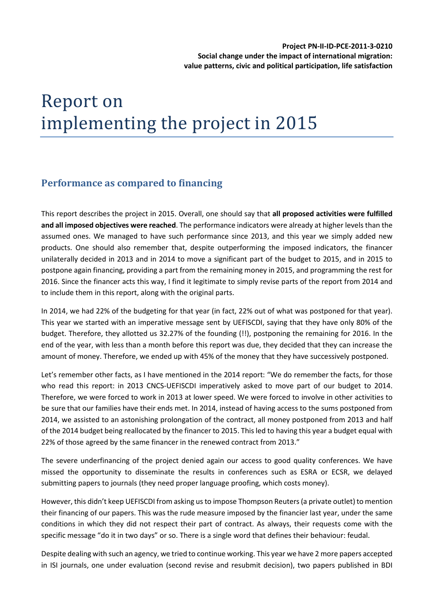# Report on implementing the project in 2015

# **Performance as compared to financing**

This report describes the project in 2015. Overall, one should say that **all proposed activities were fulfilled and all imposed objectives were reached**. The performance indicators were already at higher levels than the assumed ones. We managed to have such performance since 2013, and this year we simply added new products. One should also remember that, despite outperforming the imposed indicators, the financer unilaterally decided in 2013 and in 2014 to move a significant part of the budget to 2015, and in 2015 to postpone again financing, providing a part from the remaining money in 2015, and programming the rest for 2016. Since the financer acts this way, I find it legitimate to simply revise parts of the report from 2014 and to include them in this report, along with the original parts.

In 2014, we had 22% of the budgeting for that year (in fact, 22% out of what was postponed for that year). This year we started with an imperative message sent by UEFISCDI, saying that they have only 80% of the budget. Therefore, they allotted us 32.27% of the founding (!!), postponing the remaining for 2016. In the end of the year, with less than a month before this report was due, they decided that they can increase the amount of money. Therefore, we ended up with 45% of the money that they have successively postponed.

Let's remember other facts, as I have mentioned in the 2014 report: "We do remember the facts, for those who read this report: in 2013 CNCS-UEFISCDI imperatively asked to move part of our budget to 2014. Therefore, we were forced to work in 2013 at lower speed. We were forced to involve in other activities to be sure that our families have their ends met. In 2014, instead of having access to the sums postponed from 2014, we assisted to an astonishing prolongation of the contract, all money postponed from 2013 and half of the 2014 budget being reallocated by the financer to 2015. This led to having this year a budget equal with 22% of those agreed by the same financer in the renewed contract from 2013."

The severe underfinancing of the project denied again our access to good quality conferences. We have missed the opportunity to disseminate the results in conferences such as ESRA or ECSR, we delayed submitting papers to journals (they need proper language proofing, which costs money).

However, this didn't keep UEFISCDI from asking us to impose Thompson Reuters (a private outlet) to mention their financing of our papers. This was the rude measure imposed by the financier last year, under the same conditions in which they did not respect their part of contract. As always, their requests come with the specific message "do it in two days" or so. There is a single word that defines their behaviour: feudal.

Despite dealing with such an agency, we tried to continue working. This year we have 2 more papers accepted in ISI journals, one under evaluation (second revise and resubmit decision), two papers published in BDI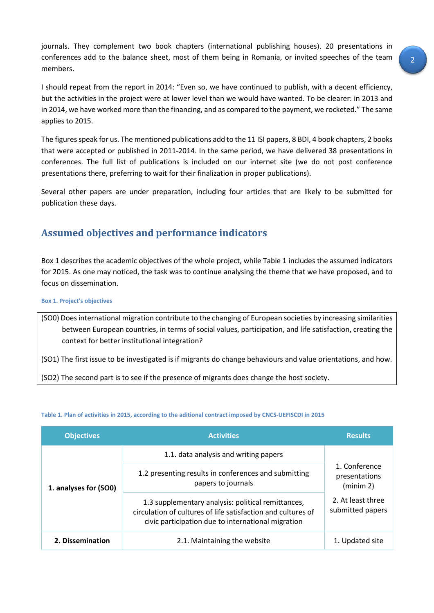journals. They complement two book chapters (international publishing houses). 20 presentations in conferences add to the balance sheet, most of them being in Romania, or invited speeches of the team members.

I should repeat from the report in 2014: "Even so, we have continued to publish, with a decent efficiency, but the activities in the project were at lower level than we would have wanted. To be clearer: in 2013 and in 2014, we have worked more than the financing, and as compared to the payment, we rocketed." The same applies to 2015.

The figures speak for us. The mentioned publications add to the 11 ISI papers, 8 BDI, 4 book chapters, 2 books that were accepted or published in 2011-2014. In the same period, we have delivered 38 presentations in conferences. The full list of publications is included on our internet site (we do not post conference presentations there, preferring to wait for their finalization in proper publications).

Several other papers are under preparation, including four articles that are likely to be submitted for publication these days.

# **Assumed objectives and performance indicators**

[Box 1](#page-1-0) describes the academic objectives of the whole project, while Table 1 includes the assumed indicators for 2015. As one may noticed, the task was to continue analysing the theme that we have proposed, and to focus on dissemination.

<span id="page-1-0"></span>**Box 1. Project's objectives**

(SO0) Does international migration contribute to the changing of European societies by increasing similarities between European countries, in terms of social values, participation, and life satisfaction, creating the context for better institutional integration?

(SO1) The first issue to be investigated is if migrants do change behaviours and value orientations, and how.

(SO2) The second part is to see if the presence of migrants does change the host society.

| <b>Objectives</b>     | <b>Activities</b>                                                                                                                                                        | <b>Results</b>                             |  |  |
|-----------------------|--------------------------------------------------------------------------------------------------------------------------------------------------------------------------|--------------------------------------------|--|--|
| 1. analyses for (SO0) | 1.1. data analysis and writing papers                                                                                                                                    |                                            |  |  |
|                       | 1.2 presenting results in conferences and submitting<br>papers to journals                                                                                               | 1. Conference<br>presentations<br>(minm 2) |  |  |
|                       | 1.3 supplementary analysis: political remittances,<br>circulation of cultures of life satisfaction and cultures of<br>civic participation due to international migration | 2. At least three<br>submitted papers      |  |  |
| 2. Dissemination      | 2.1. Maintaining the website                                                                                                                                             | 1. Updated site                            |  |  |

#### **Table 1. Plan of activities in 2015, according to the aditional contract imposed by CNCS-UEFISCDI in 2015**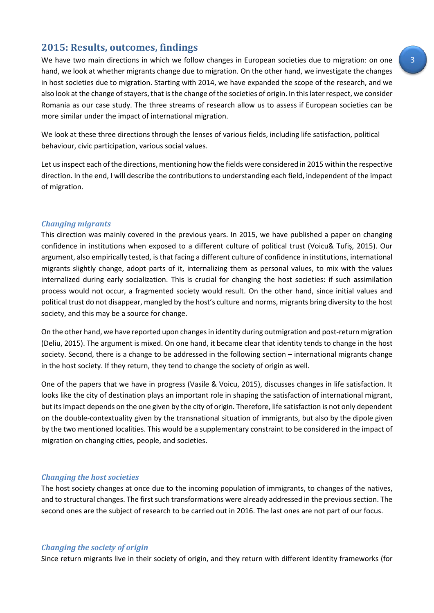## **2015: Results, outcomes, findings**

We have two main directions in which we follow changes in European societies due to migration: on one hand, we look at whether migrants change due to migration. On the other hand, we investigate the changes in host societies due to migration. Starting with 2014, we have expanded the scope of the research, and we also look at the change of stayers, that is the change of the societies of origin. In this later respect, we consider Romania as our case study. The three streams of research allow us to assess if European societies can be more similar under the impact of international migration.

We look at these three directions through the lenses of various fields, including life satisfaction, political behaviour, civic participation, various social values.

Let usinspect each of the directions, mentioning how the fields were considered in 2015 within the respective direction. In the end, I will describe the contributions to understanding each field, independent of the impact of migration.

#### *Changing migrants*

This direction was mainly covered in the previous years. In 2015, we have published a paper on changing confidence in institutions when exposed to a different culture of political trust (Voicu& Tufiș, 2015). Our argument, also empirically tested, is that facing a different culture of confidence in institutions, international migrants slightly change, adopt parts of it, internalizing them as personal values, to mix with the values internalized during early socialization. This is crucial for changing the host societies: if such assimilation process would not occur, a fragmented society would result. On the other hand, since initial values and political trust do not disappear, mangled by the host's culture and norms, migrants bring diversity to the host society, and this may be a source for change.

On the other hand, we have reported upon changes in identity during outmigration and post-return migration (Deliu, 2015). The argument is mixed. On one hand, it became clear that identity tends to change in the host society. Second, there is a change to be addressed in the following section – international migrants change in the host society. If they return, they tend to change the society of origin as well.

One of the papers that we have in progress (Vasile & Voicu, 2015), discusses changes in life satisfaction. It looks like the city of destination plays an important role in shaping the satisfaction of international migrant, but its impact depends on the one given by the city of origin. Therefore, life satisfaction is not only dependent on the double-contextuality given by the transnational situation of immigrants, but also by the dipole given by the two mentioned localities. This would be a supplementary constraint to be considered in the impact of migration on changing cities, people, and societies.

#### *Changing the host societies*

The host society changes at once due to the incoming population of immigrants, to changes of the natives, and to structural changes. The first such transformations were already addressed in the previous section. The second ones are the subject of research to be carried out in 2016. The last ones are not part of our focus.

#### *Changing the society of origin*

Since return migrants live in their society of origin, and they return with different identity frameworks (for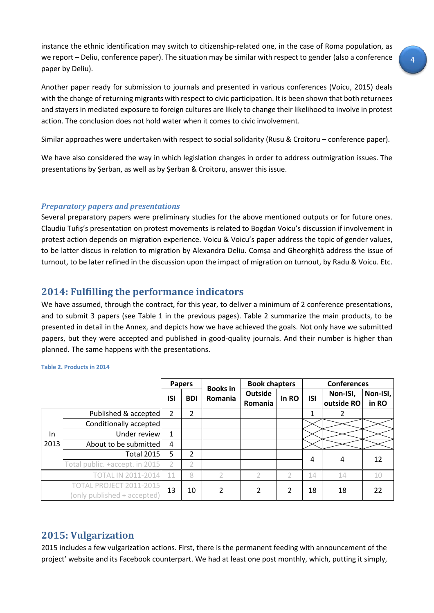instance the ethnic identification may switch to citizenship-related one, in the case of Roma population, as we report – Deliu, conference paper). The situation may be similar with respect to gender (also a conference paper by Deliu).

Another paper ready for submission to journals and presented in various conferences (Voicu, 2015) deals with the change of returning migrants with respect to civic participation. It is been shown that both returnees and stayers in mediated exposure to foreign cultures are likely to change their likelihood to involve in protest action. The conclusion does not hold water when it comes to civic involvement.

Similar approaches were undertaken with respect to social solidarity (Rusu & Croitoru – conference paper).

We have also considered the way in which legislation changes in order to address outmigration issues. The presentations by Șerban, as well as by Șerban & Croitoru, answer this issue.

## *Preparatory papers and presentations*

Several preparatory papers were preliminary studies for the above mentioned outputs or for future ones. Claudiu Tufiș's presentation on protest movements is related to Bogdan Voicu's discussion if involvement in protest action depends on migration experience. Voicu & Voicu's paper address the topic of gender values, to be latter discus in relation to migration by Alexandra Deliu. Comșa and Gheorghiță address the issue of turnout, to be later refined in the discussion upon the impact of migration on turnout, by Radu & Voicu. Etc.

## **2014: Fulfilling the performance indicators**

We have assumed, through the contract, for this year, to deliver a minimum of 2 conference presentations, and to submit 3 papers (see Table 1 in the previous pages). Table 2 summarize the main products, to be presented in detail in the Annex, and depicts how we have achieved the goals. Not only have we submitted papers, but they were accepted and published in good-quality journals. And their number is higher than planned. The same happens with the presentations.

|                                                               |                                | <b>Papers</b> |                | <b>Books in</b> | <b>Book chapters</b>             |       | <b>Conferences</b> |                        |                   |
|---------------------------------------------------------------|--------------------------------|---------------|----------------|-----------------|----------------------------------|-------|--------------------|------------------------|-------------------|
|                                                               |                                |               | <b>BDI</b>     | Romania         | <b>Outside</b><br><b>Romania</b> | In RO | <b>ISI</b>         | Non-ISI,<br>outside RO | Non-ISI,<br>in RO |
| In<br>2013                                                    | Published & accepted           |               | $\overline{2}$ |                 |                                  |       | 1                  |                        |                   |
|                                                               | Conditionally accepted         |               |                |                 |                                  |       |                    |                        |                   |
|                                                               | Under review                   | 1             |                |                 |                                  |       |                    |                        |                   |
|                                                               | About to be submitted          | 4             |                |                 |                                  |       |                    |                        |                   |
|                                                               | <b>Total 2015</b>              |               | $\overline{2}$ |                 |                                  |       | 4                  |                        | 12                |
|                                                               | Total public. +accept. in 2015 |               |                |                 |                                  |       |                    | 4                      |                   |
| TOTAL IN 2011-2014                                            |                                | 11            | 8              | $\mathcal{P}$   |                                  |       | 14                 | 14                     | 10                |
| <b>TOTAL PROJECT 2011-2015</b><br>(only published + accepted) |                                | 13            | 10             | $\overline{2}$  | 2                                | 2     | 18                 | 18                     | 22                |

#### **Table 2. Products in 2014**

# **2015: Vulgarization**

2015 includes a few vulgarization actions. First, there is the permanent feeding with announcement of the project' website and its Facebook counterpart. We had at least one post monthly, which, putting it simply,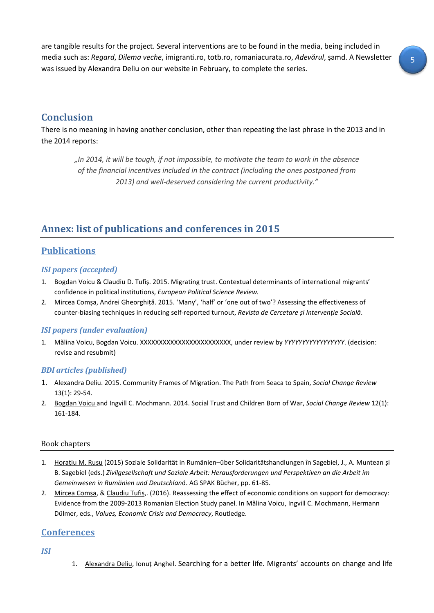are tangible results for the project. Several interventions are to be found in the media, being included in media such as: *Regard*, *Dilema veche*, imigranti.ro, totb.ro, romaniacurata.ro, *Adevărul*, șamd. A Newsletter was issued by Alexandra Deliu on our website in February, to complete the series.

# **Conclusion**

There is no meaning in having another conclusion, other than repeating the last phrase in the 2013 and in the 2014 reports:

*"In 2014, it will be tough, if not impossible, to motivate the team to work in the absence of the financial incentives included in the contract (including the ones postponed from 2013) and well-deserved considering the current productivity."*

# **Annex: list of publications and conferences in 2015**

## **Publications**

## *ISI papers (accepted)*

- 1. Bogdan Voicu & Claudiu D. Tufiș. 2015. Migrating trust. Contextual determinants of international migrants' confidence in political institutions, *European Political Science Review.*
- 2. Mircea Comșa, Andrei Gheorghiță. 2015. 'Many', 'half' or 'one out of two'? Assessing the effectiveness of counter-biasing techniques in reducing self-reported turnout, *Revista de Cercetare și Intervenție Socială*.

## *ISI papers (under evaluation)*

1. Mălina Voicu, Bogdan Voicu. XXXXXXXXXXXXXXXXXXXXXXXX, under review by *YYYYYYYYYYYYYYYYY*. (decision: revise and resubmit)

## *BDI articles (published)*

- 1. Alexandra Deliu. 2015. Community Frames of Migration. The Path from Seaca to Spain, *Social Change Review* 13(1): 29-54.
- 2. Bogdan Voicu and Ingvill C. Mochmann. 2014. Social Trust and Children Born of War, *Social Change Review* 12(1): 161-184.

## Book chapters

- 1. Horațiu M. Rusu (2015) Soziale Solidarität in Rumänien–über Solidaritätshandlungen în Sagebiel, J., A. Muntean și B. Sagebiel (eds.) *Zivilgesellschaft und Soziale Arbeit: Herausforderungen und Perspektiven an die Arbeit im Gemeinwesen in Rumänien und Deutschlan*d. AG SPAK Bücher, pp. 61-85.
- 2. Mircea Comșa, & Claudiu Tufiș,. (2016). Reassessing the effect of economic conditions on support for democracy: Evidence from the 2009-2013 Romanian Election Study panel. In Mălina Voicu, Ingvill C. Mochmann, Hermann Dülmer, eds., *Values, Economic Crisis and Democracy*, Routledge.

## **Conferences**

*ISI*

1. Alexandra Deliu, Ionuț Anghel. Searching for a better life. Migrants' accounts on change and life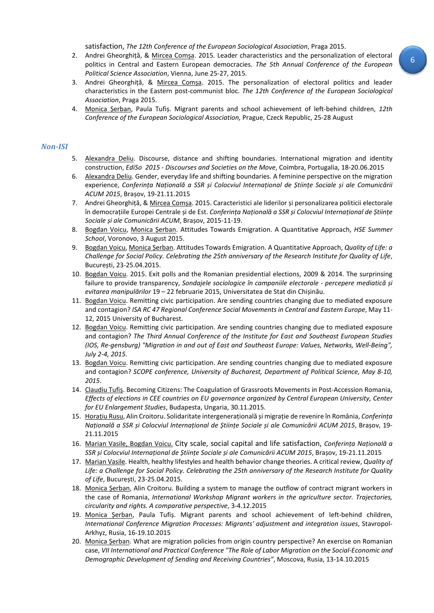satisfaction, *The 12th Conference of the European Sociological Association*, Praga 2015.

- 2. Andrei Gheorghiță, & Mircea Comșa. 2015. Leader characteristics and the personalization of electoral politics in Central and Eastern European democracies. *The 5th Annual Conference of the European Political Science Association*, Vienna, June 25-27, 2015.
- 3. Andrei Gheorghiță, & Mircea Comșa. 2015. The personalization of electoral politics and leader characteristics in the Eastern post-communist bloc. *The 12th Conference of the European Sociological Association*, Praga 2015.
- 4. Monica Șerban, Paula Tufiș. Migrant parents and school achievement of left-behind children, *12th Conference of the European Sociological Association,* Prague, Czeck Republic, 25-28 August

#### *Non-ISI*

- 5. Alexandra Deliu. Discourse, distance and shifting boundaries. International migration and identity construction, *EdiSo 2015 - Discourses and Societies on the Move*, Coimbra, Portugalia, 18-20.06.2015
- 6. Alexandra Deliu. Gender, everyday life and shifting boundaries. A feminine perspective on the migration experience, *Conferința Națională a SSR și Colocviul Internațional de Științe Sociale și ale Comunicării ACUM 2015*, Brașov, 19-21.11.2015
- 7. Andrei Gheorghiță, & Mircea Comșa. 2015. Caracteristici ale liderilor și personalizarea politicii electorale în democrațiile Europei Centrale și de Est. *Conferința Națională a SSR și Colocviul Internațional de Științe Sociale și ale Comunicării ACUM*, Brașov, 2015-11-19.
- 8. Bogdan Voicu, Monica Șerban. Attitudes Towards Emigration. A Quantitative Approach, *HSE Summer School*, Voronovo, 3 August 2015.
- 9. Bogdan Voicu, Monica Șerban. Attitudes Towards Emigration. A Quantitative Approach, *Quality of Life: a Challenge for Social Policy. Celebrating the 25th anniversary of the Research Institute for Quality of Life*, București, 23-25.04.2015.
- 10. Bogdan Voicu. 2015. Exit polls and the Romanian presidential elections, 2009 & 2014. The surprinsing failure to provide transparency, *Sondajele sociologice în campaniile electorale - percepere mediatică și evitarea manipulărilor* 19 – 22 februarie 2015, Universitatea de Stat din Chișinău.
- 11. Bogdan Voicu. Remitting civic participation. Are sending countries changing due to mediated exposure and contagion? *ISA RC 47 Regional Conference Social Movements in Central and Eastern Europe*, May 11- 12, 2015 University of Bucharest.
- 12. Bogdan Voicu. Remitting civic participation. Are sending countries changing due to mediated exposure and contagion? *The Third Annual Conference of the Institute for East and Southeast European Studies (IOS, Re-gensburg) "Migration in and out of East and Southeast Europe: Values, Networks, Well-Being", July 2-4, 2015*.
- 13. Bogdan Voicu. Remitting civic participation. Are sending countries changing due to mediated exposure and contagion? *SCOPE conference, University of Bucharest, Department of Political Science, May 8-10, 2015*.
- 14. Claudiu Tufiș. Becoming Citizens: The Coagulation of Grassroots Movements in Post-Accession Romania, *Effects of elections in CEE countries on EU governance organized by Central European University, Center for EU Enlargement Studies*, Budapesta, Ungaria, 30.11.2015.
- 15. Horațiu Rusu, Alin Croitoru. Solidaritate intergenerațională și migrație de revenire în România, *Conferința Națională a SSR și Colocviul Internațional de Științe Sociale și ale Comunicării ACUM 2015*, Brașov, 19- 21.11.2015
- 16. Marian Vasile, Bogdan Voicu. City scale, social capital and life satisfaction, *Conferința Națională a SSR și Colocviul Internațional de Științe Sociale și ale Comunicării ACUM 2015*, Brașov, 19-21.11.2015
- 17. Marian Vasile. Health, healthy lifestyles and health behavior change theories. A critical review, *Quality of Life: a Challenge for Social Policy. Celebrating the 25th anniversary of the Research Institute for Quality of Life*, București, 23-25.04.2015.
- 18. Monica Serban, Alin Croitoru. Building a system to manage the outflow of contract migrant workers in the case of Romania, *International Workshop Migrant workers in the agriculture sector. Trajectories, circularity and rights. A comparative perspective*, 3-4.12.2015
- 19. Monica Șerban, Paula Tufiș. Migrant parents and school achievement of left-behind children, *International Conference Migration Processes: Migrants' adjustment and integration issues*, Stavropol-Arkhyz, Rusia, 16-19.10.2015
- 20. Monica Șerban. What are migration policies from origin country perspective? An exercise on Romanian case, *VII International and Practical Conference "The Role of Labor Migration on the Social-Economic and Demographic Development of Sending and Receiving Countries"*, Moscova, Rusia, 13-14.10.2015